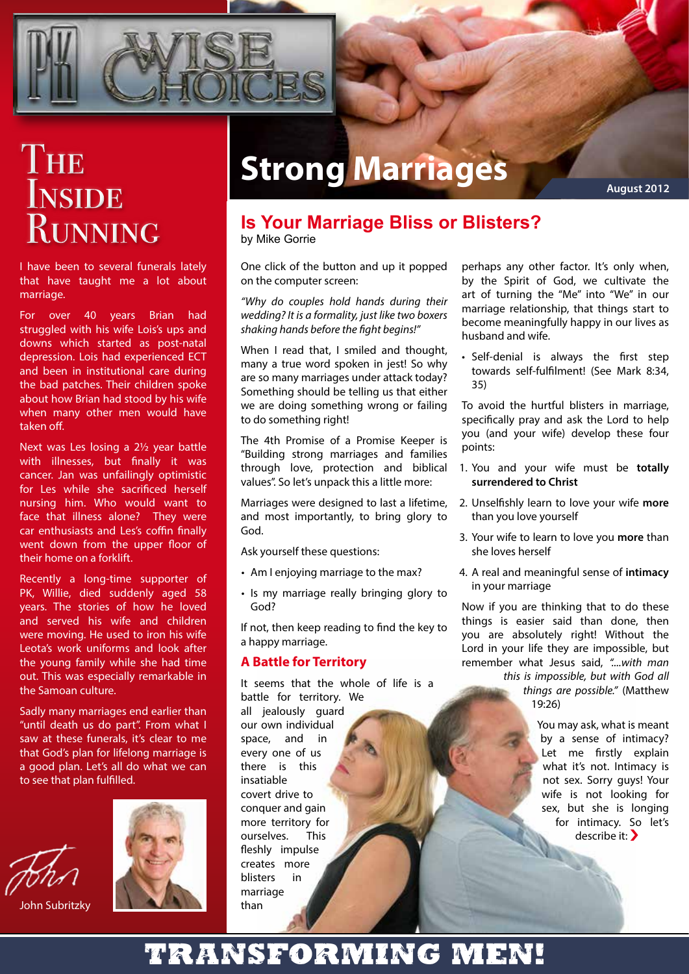

# THE **INSIDE RUNNING**

I have been to several funerals lately that have taught me a lot about marriage.

For over 40 years Brian had struggled with his wife Lois's ups and downs which started as post-natal depression. Lois had experienced ECT and been in institutional care during the bad patches. Their children spoke about how Brian had stood by his wife when many other men would have taken off.

Next was Les losing a 2½ year battle with illnesses, but finally it was cancer. Jan was unfailingly optimistic for Les while she sacrificed herself nursing him. Who would want to face that illness alone? They were car enthusiasts and Les's coffin finally went down from the upper floor of their home on a forklift.

Recently a long-time supporter of PK, Willie, died suddenly aged 58 years. The stories of how he loved and served his wife and children were moving. He used to iron his wife Leota's work uniforms and look after the young family while she had time out. This was especially remarkable in the Samoan culture.

Sadly many marriages end earlier than "until death us do part". From what I saw at these funerals, it's clear to me that God's plan for lifelong marriage is a good plan. Let's all do what we can to see that plan fulfilled.







# **Strong Marriages**

**August 2012**

#### **Is Your Marriage Bliss or Blisters?** by Mike Gorrie

One click of the button and up it popped on the computer screen:

*"Why do couples hold hands during their wedding? It is a formality, just like two boxers shaking hands before the fight begins!"*

When I read that, I smiled and thought, many a true word spoken in jest! So why are so many marriages under attack today? Something should be telling us that either we are doing something wrong or failing to do something right!

The 4th Promise of a Promise Keeper is "Building strong marriages and families through love, protection and biblical values". So let's unpack this a little more:

Marriages were designed to last a lifetime, and most importantly, to bring glory to God.

Ask yourself these questions:

- Am I enjoying marriage to the max?
- Is my marriage really bringing glory to God?

If not, then keep reading to find the key to a happy marriage.

#### **A Battle for Territory**

It seems that the whole of life is a battle for territory. We

all jealously guard our own individual space, and in every one of us there is this insatiable covert drive to conquer and gain more territory for ourselves. This fleshly impulse creates more blisters in marriage than

perhaps any other factor. It's only when, by the Spirit of God, we cultivate the art of turning the "Me" into "We" in our marriage relationship, that things start to become meaningfully happy in our lives as husband and wife.

• Self-denial is always the first step towards self-fulfilment! (See Mark 8:34, 35)

To avoid the hurtful blisters in marriage, specifically pray and ask the Lord to help you (and your wife) develop these four points:

- You and your wife must be **totally**  1. **surrendered to Christ**
- Unselfishly learn to love your wife **more**  2. than you love yourself
- 3. Your wife to learn to love you more than she loves herself
- A real and meaningful sense of **intimacy**  4. in your marriage

Now if you are thinking that to do these things is easier said than done, then you are absolutely right! Without the Lord in your life they are impossible, but remember what Jesus said, *"....with man* 

*this is impossible, but with God all things are possible."* (Matthew 19:26)

> You may ask, what is meant by a sense of intimacy? Let me firstly explain what it's not. Intimacy is not sex. Sorry guys! Your wife is not looking for sex, but she is longing for intimacy. So let's describe it: �

## Transforming men!